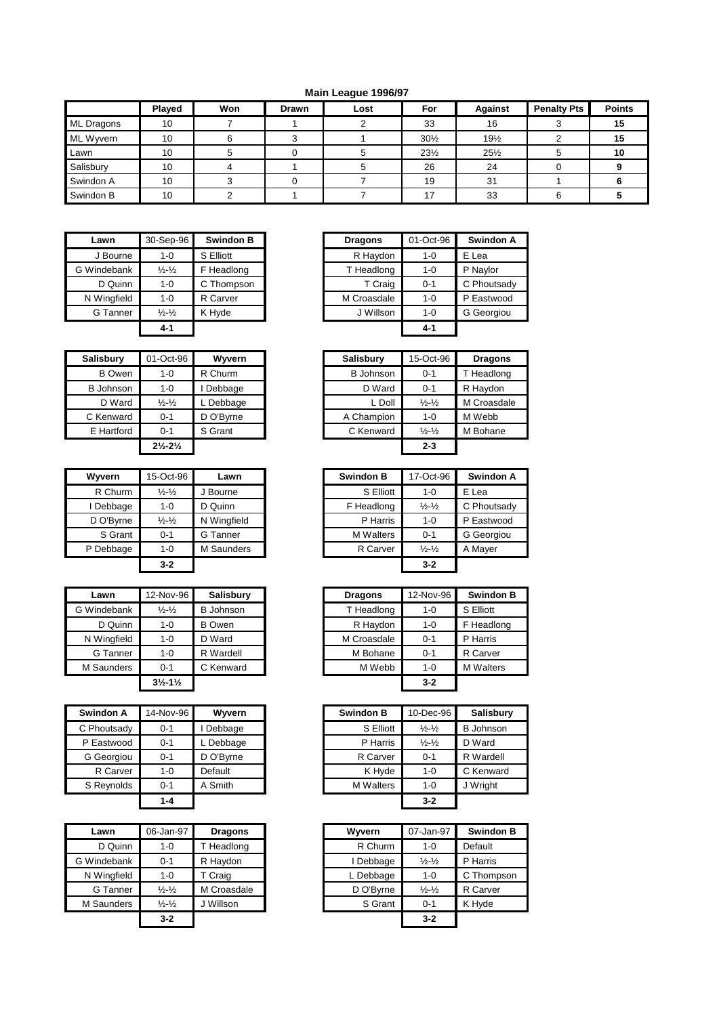## **Main League 1996/97**

|            | <b>Played</b> | Won | <b>Drawn</b> | Lost | For             | Against         | <b>Penalty Pts</b> | <b>Points</b> |
|------------|---------------|-----|--------------|------|-----------------|-----------------|--------------------|---------------|
| ML Dragons | 10            |     |              |      | 33              | 16              |                    | 15            |
| ML Wyvern  | 10            |     |              |      | $30\frac{1}{2}$ | 19%             |                    | 15            |
| Lawn       | 10            |     |              |      | $23\frac{1}{2}$ | $25\frac{1}{2}$ |                    | 10            |
| Salisbury  | 10            |     |              |      | 26              | 24              |                    |               |
| Swindon A  | 10            |     |              |      | 19              | 31              |                    |               |
| Swindon B  | 10            |     |              |      | 17              | 33              |                    |               |

| Lawn        | 30-Sep-96                   | <b>Swindon B</b> |  | <b>Dragons</b> | 01-Oct-96 | <b>Swind</b> |
|-------------|-----------------------------|------------------|--|----------------|-----------|--------------|
| J Bourne    | 1-0                         | S Elliott        |  | R Haydon       | $1 - 0$   | E Lea        |
| G Windebank | $\frac{1}{2} - \frac{1}{2}$ | F Headlong       |  | T Headlong     | $1 - 0$   | P Naylor     |
| D Quinn     | 1-0                         | C Thompson       |  | T Craig        | $0 - 1$   | C Phout      |
| N Wingfield | 1-0                         | R Carver         |  | M Croasdale    | $1 - 0$   | P Eastw      |
| G Tanner    | $\frac{1}{2} - \frac{1}{2}$ | K Hyde           |  | J Willson      | $1 - 0$   | G Georg      |
|             | $4 - 1$                     |                  |  |                | $4 - 1$   |              |

| <b>Salisbury</b> | 01-Oct-96                     | Wyvern    | <b>Salisbury</b> | 15-Oct-96                   | <b>Drago</b> |
|------------------|-------------------------------|-----------|------------------|-----------------------------|--------------|
| B Owen           | 1-0                           | R Churm   | <b>B</b> Johnson | $0 - 1$                     | T Headle     |
| <b>B</b> Johnson | 1-0                           | Debbage   | D Ward           | $0 - 1$                     | R Haydo      |
| D Ward           | $\frac{1}{2} - \frac{1}{2}$   | Debbage   | L Doll           | $\frac{1}{2} - \frac{1}{2}$ | M Croas      |
| C Kenward        | $0 - 1$                       | D O'Byrne | A Champion       | $1 - 0$                     | M Webb       |
| E Hartford       | $0 - 1$                       | S Grant   | C Kenward        | $\frac{1}{2} - \frac{1}{2}$ | M Bohar      |
|                  | $2\frac{1}{2} - 2\frac{1}{2}$ |           |                  | $2 - 3$                     |              |

| Wyvern    | 15-Oct-96                   | Lawn        | <b>Swindon B</b> | 17-Oct-96                   |         |
|-----------|-----------------------------|-------------|------------------|-----------------------------|---------|
| R Churm   | $\frac{1}{2} - \frac{1}{2}$ | J Bourne    | S Elliott        | $1 - 0$                     | E Lea   |
| Debbage   | $1 - 0$                     | D Quinn     | F Headlong       | $\frac{1}{2} - \frac{1}{2}$ | C Phout |
| D O'Byrne | $\frac{1}{2} - \frac{1}{2}$ | N Wingfield | P Harris         | $1 - 0$                     | P Eastw |
| S Grant   | $0 - 1$                     | G Tanner    | <b>M</b> Walters | $0 - 1$                     | G Geord |
| P Debbage | $1 - 0$                     | M Saunders  | R Carver         | $\frac{1}{2} - \frac{1}{2}$ | A Mayer |
|           | $3 - 2$                     |             |                  | $3 - 2$                     |         |

| Lawn        | 12-Nov-96                     | <b>Salisbury</b> | <b>Dragons</b> | 12-Nov-96 |  |
|-------------|-------------------------------|------------------|----------------|-----------|--|
| G Windebank | $\frac{1}{2} - \frac{1}{2}$   | <b>B</b> Johnson | T Headlong     | $1 - 0$   |  |
| D Quinn     | $1 - 0$                       | <b>B</b> Owen    | R Haydon       | $1 - 0$   |  |
| N Wingfield | $1 - 0$                       | D Ward           | M Croasdale    | $0 - 1$   |  |
| G Tanner    | $1 - 0$                       | R Wardell        | M Bohane       | $0 - 1$   |  |
| M Saunders  | $0 - 1$                       | C Kenward        | M Webb         | $1 - 0$   |  |
|             | $3\frac{1}{2} - 1\frac{1}{2}$ |                  |                | $3 - 2$   |  |

| Swindon A   | 14-Nov-96 | Wyvern    |
|-------------|-----------|-----------|
| C Phoutsady | $0 - 1$   | Debbage   |
| P Eastwood  | $0 - 1$   | Debbage   |
| G Georgiou  | $0 - 1$   | D O'Byrne |
| R Carver    | $1 - 0$   | Default   |
| S Reynolds  | $0 - 1$   | A Smith   |
|             | $1 - 4$   |           |

| Lawn        | 06-Jan-97                   | <b>Dragons</b> | Wyvern    | 07-Jan-97                   | <b>Swind</b> |
|-------------|-----------------------------|----------------|-----------|-----------------------------|--------------|
| D Quinn     | 1-0                         | T Headlong     | R Churm   | $1 - 0$                     | Default      |
| G Windebank | $0 - 1$                     | R Haydon       | Debbage   | $\frac{1}{2} - \frac{1}{2}$ | P Harris     |
| N Wingfield | 1-0                         | T Craig        | L Debbage | $1 - 0$                     | C Thom       |
| G Tanner    | $\frac{1}{2} - \frac{1}{2}$ | M Croasdale    | D O'Byrne | $\frac{1}{2} - \frac{1}{2}$ | R Carve      |
| M Saunders  | $\frac{1}{2} - \frac{1}{2}$ | J Willson      | S Grant   | $0 - 1$                     | K Hyde       |
|             | $3 - 2$                     |                |           | $3 - 2$                     |              |

| Lawn        | 30-Sep-96                     | <b>Swindon B</b> | <b>Dragons</b> | 01-Oct-96 | Swindon A   |
|-------------|-------------------------------|------------------|----------------|-----------|-------------|
| J Bourne    | $1 - 0$                       | S Elliott        | R Haydon       | $1 - 0$   | E Lea       |
| Windebank   | $\frac{1}{2}$ - $\frac{1}{2}$ | F Headlong       | T Headlong     | $1 - 0$   | P Naylor    |
| D Quinn     | $1 - 0$                       | C Thompson       | T Craig        | $0 - 1$   | C Phoutsady |
| N Wingfield | $1 - 0$                       | R Carver         | M Croasdale    | $1 - 0$   | P Eastwood  |
| G Tanner    | $\frac{1}{2} - \frac{1}{2}$   | K Hyde           | J Willson      | $1 - 0$   | G Georgiou  |
|             | $4 - 1$                       |                  |                | $4 - 1$   |             |

| Salisbury        | 01-Oct-96                     | Wyvern    | <b>Salisbury</b> | 15-Oct-96                   | <b>Dragons</b> |
|------------------|-------------------------------|-----------|------------------|-----------------------------|----------------|
| <b>B</b> Owen    | $1 - 0$                       | R Churm   | <b>B</b> Johnson | $0 - 1$                     | T Headlong     |
| <b>B</b> Johnson | $1 - 0$                       | Debbage   | D Ward           | $0 - 1$                     | R Haydon       |
| D Ward           | $\frac{1}{2} - \frac{1}{2}$   | Debbage   | L Doll           | $\frac{1}{2} - \frac{1}{2}$ | M Croasdale    |
| C Kenward        | $0 - 1$                       | D O'Byrne | A Champion       | $1 - 0$                     | M Webb         |
| E Hartford       | $0 - 1$                       | S Grant   | C Kenward        | $\frac{1}{2} - \frac{1}{2}$ | M Bohane       |
|                  | $2\frac{1}{2} - 2\frac{1}{2}$ |           |                  | $2 - 3$                     |                |

| Wvvern    | 15-Oct-96                   | Lawn        | <b>Swindon B</b> | 17-Oct-96                   | Swindon A   |
|-----------|-----------------------------|-------------|------------------|-----------------------------|-------------|
| R Churm   | $\frac{1}{2} - \frac{1}{2}$ | J Bourne    | S Elliott        | $1 - 0$                     | E Lea       |
| I Debbage | 1-0                         | D Quinn     | F Headlong       | $\frac{1}{2} - \frac{1}{2}$ | C Phoutsady |
| D O'Byrne | $\frac{1}{2} - \frac{1}{2}$ | N Wingfield | P Harris         | $1 - 0$                     | P Eastwood  |
| S Grant   | $0 - 1$                     | G Tanner    | <b>M</b> Walters | $0 - 1$                     | G Georgiou  |
| P Debbage | 1-0                         | M Saunders  | R Carver         | $\frac{1}{2} - \frac{1}{2}$ | A Mayer     |
|           | $3 - 2$                     |             |                  | $3 - 2$                     |             |

| Lawn            | 12-Nov-96                     | Salisbury        | <b>Dragons</b> | 12-Nov-96 | <b>Swindon B</b> |
|-----------------|-------------------------------|------------------|----------------|-----------|------------------|
| /indebank       | $\frac{1}{2} - \frac{1}{2}$   | <b>B</b> Johnson | T Headlong     | $1 - 0$   | S Elliott        |
| D Quinn         | $1 - 0$                       | <b>B</b> Owen    | R Haydon       | $1 - 0$   | F Headlong       |
| Wingfield       | $1 - 0$                       | D Ward           | M Croasdale    | $0 - 1$   | P Harris         |
| G Tanner        | $1 - 0$                       | R Wardell        | M Bohane       | $0 - 1$   | R Carver         |
| <b>Saunders</b> | $0 - 1$                       | C Kenward        | M Webb         | $1 - 0$   | <b>M</b> Walters |
|                 | $3\frac{1}{2} - 1\frac{1}{2}$ |                  |                | $3 - 2$   |                  |
|                 |                               |                  |                |           |                  |

| Swindon A   | 14-Nov-96 | Wyvern    | <b>Swindon B</b> | 10-Dec-96                   | <b>Salisbury</b> |
|-------------|-----------|-----------|------------------|-----------------------------|------------------|
| C Phoutsady | $0 - 1$   | Debbage   | S Elliott        | $\frac{1}{2} - \frac{1}{2}$ | <b>B</b> Johnson |
| P Eastwood  | $0 - 1$   | L Debbage | P Harris         | $\frac{1}{2} - \frac{1}{2}$ | D Ward           |
| G Georgiou  | $0 - 1$   | D O'Byrne | R Carver         | $0 - 1$                     | R Wardell        |
| R Carver    | $1 - 0$   | Default   | K Hyde           | $1 - 0$                     | C Kenward        |
| S Reynolds  | $0 - 1$   | A Smith   | <b>M</b> Walters | $1 - 0$                     | J Wright         |
|             | $1 - 4$   |           |                  | $3 - 2$                     |                  |

| Lawn        | 06-Jan-97                   | <b>Dragons</b> | Wyvern    | 07-Jan-97                   | <b>Swindon B</b> |
|-------------|-----------------------------|----------------|-----------|-----------------------------|------------------|
| D Quinn     | $1 - 0$                     | Headlong       | R Churm   | $1 - 0$                     | Default          |
| Windebank   | $0 - 1$                     | R Haydon       | Debbage   | $\frac{1}{2} - \frac{1}{2}$ | P Harris         |
| N Wingfield | $1 - 0$                     | T Craig        | L Debbage | $1 - 0$                     | C Thompson       |
| G Tanner    | $\frac{1}{2} - \frac{1}{2}$ | M Croasdale    | D O'Byrne | $\frac{1}{2} - \frac{1}{2}$ | R Carver         |
| M Saunders  | $\frac{1}{2} - \frac{1}{2}$ | J Willson      | S Grant   | $0 - 1$                     | K Hyde           |
|             | $3 - 2$                     |                |           | $3 - 2$                     |                  |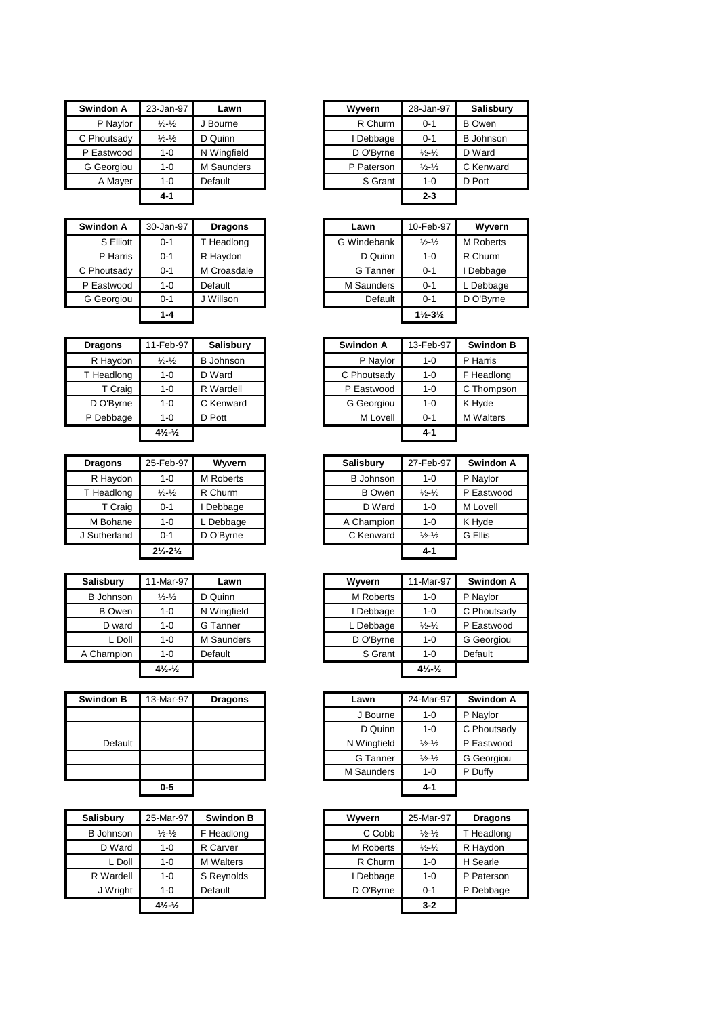| <b>Swindon A</b> | 23-Jan-97                      | Lawn             | Wyvern           | 28-Jan-97                      | <b>Salisbury</b> |
|------------------|--------------------------------|------------------|------------------|--------------------------------|------------------|
| P Naylor         | $\frac{1}{2} - \frac{1}{2}$    | J Bourne         | R Churm          | $0 - 1$                        | <b>B</b> Owen    |
| C Phoutsady      | $\frac{1}{2} - \frac{1}{2}$    | D Quinn          | I Debbage        | $0 - 1$                        | <b>B</b> Johnson |
| P Eastwood       | $1 - 0$                        | N Wingfield      | D O'Byrne        | $\frac{1}{2} - \frac{1}{2}$    | D Ward           |
| G Georgiou       | $1 - 0$                        | M Saunders       | P Paterson       | $\frac{1}{2} - \frac{1}{2}$    | C Kenward        |
| A Mayer          | $1 - 0$                        | Default          | S Grant          | $1 - 0$                        | D Pott           |
|                  | 4-1                            |                  |                  | $2 - 3$                        |                  |
| Swindon A        | 30-Jan-97                      | <b>Dragons</b>   | Lawn             | 10-Feb-97                      | Wyvern           |
| S Elliott        | 0-1                            | T Headlong       | G Windebank      | $\frac{1}{2} - \frac{1}{2}$    | M Roberts        |
| P Harris         | $0 - 1$                        | R Haydon         | D Quinn          | $1 - 0$                        | R Churm          |
| C Phoutsady      | 0-1                            | M Croasdale      | G Tanner         | $0 - 1$                        | I Debbage        |
| P Eastwood       | $1 - 0$                        | Default          | M Saunders       | $0 - 1$                        | L Debbage        |
| G Georgiou       | 0-1                            | J Willson        | Default          | $0 - 1$                        | D O'Byrne        |
|                  | $1 - 4$                        |                  |                  | $1\frac{1}{2} - 3\frac{1}{2}$  |                  |
| <b>Dragons</b>   | 11-Feb-97                      | Salisbury        | <b>Swindon A</b> | 13-Feb-97                      | <b>Swindon B</b> |
| R Haydon         | $\frac{1}{2}$ - $\frac{1}{2}$  | <b>B</b> Johnson | P Naylor         | $1 - 0$                        | P Harris         |
| T Headlong       | $1 - 0$                        | D Ward           | C Phoutsady      | 1-0                            | F Headlong       |
| T Craig          | $1 - 0$                        | R Wardell        | P Eastwood       | $1 - 0$                        | C Thompson       |
| D O'Byrne        | $1 - 0$                        | C Kenward        | G Georgiou       | $1 - 0$                        | K Hyde           |
| P Debbage        | $1 - 0$                        | D Pott           | M Lovell         | $0 - 1$                        | <b>M</b> Walters |
|                  | $4\frac{1}{2}$ $\frac{1}{2}$   |                  |                  | 4-1                            |                  |
|                  |                                |                  |                  |                                |                  |
| <b>Dragons</b>   | 25-Feb-97                      | Wyvern           | <b>Salisbury</b> | 27-Feb-97                      | Swindon A        |
| R Haydon         | $1 - 0$                        | M Roberts        | <b>B</b> Johnson | $1 - 0$                        | P Naylor         |
| T Headlong       | $\frac{1}{2} - \frac{1}{2}$    | R Churm          | <b>B</b> Owen    | $\frac{1}{2} - \frac{1}{2}$    | P Eastwood       |
| T Craig          | $0 - 1$                        | I Debbage        | D Ward           | $1 - 0$                        | M Lovell         |
| M Bohane         | $1 - 0$                        | L Debbage        | A Champion       | $1 - 0$                        | K Hyde           |
| J Sutherland     | $0 - 1$                        | D O'Byrne        | C Kenward        | $\frac{1}{2}$ - $\frac{1}{2}$  | G Ellis          |
|                  | $2\frac{1}{2} - 2\frac{1}{2}$  |                  |                  | 4-1                            |                  |
|                  |                                |                  |                  |                                |                  |
| <b>Salisbury</b> | 11-Mar-97                      | Lawn             | Wyvern           | 11-Mar-97                      | <b>Swindon A</b> |
| <b>B</b> Johnson | $\frac{1}{2}$ - $\frac{1}{2}$  | D Quinn          | M Roberts        | $1 - 0$                        | P Naylor         |
| <b>B</b> Owen    | $1 - 0$                        | N Wingfield      | I Debbage        | $1 - 0$                        | C Phoutsady      |
| D ward           | $1 - 0$                        | G Tanner         | L Debbage        | $\frac{1}{2} - \frac{1}{2}$    | P Eastwood       |
| L Doll           | $1 - 0$                        | M Saunders       | D O'Byrne        | $1 - 0$                        | G Georgiou       |
| A Champion       | $1 - 0$                        | Default          | S Grant          | $1 - 0$                        | Default          |
|                  | $4\frac{1}{2}$ - $\frac{1}{2}$ |                  |                  | $4\frac{1}{2}$ - $\frac{1}{2}$ |                  |
| <b>Swindon B</b> | 13-Mar-97                      | <b>Dragons</b>   | Lawn             | 24-Mar-97                      | Swindon A        |
|                  |                                |                  | J Bourne         | 1-0                            | P Naylor         |
|                  |                                |                  | D Quinn          | $1 - 0$                        | C Phoutsady      |
| Default          |                                |                  | N Wingfield      | $\frac{1}{2} - \frac{1}{2}$    | P Eastwood       |
|                  |                                |                  | G Tanner         | $\frac{1}{2} - \frac{1}{2}$    | G Georgiou       |
|                  |                                |                  | M Saunders       | $1 - 0$                        | P Duffy          |
|                  | 0-5                            |                  |                  | 4-1                            |                  |
|                  |                                | <b>Swindon B</b> | Wyvern           |                                |                  |
| <b>Salisbury</b> | 25-Mar-97                      |                  |                  | 25-Mar-97                      | <b>Dragons</b>   |
| <b>B</b> Johnson | $\frac{1}{2} - \frac{1}{2}$    | F Headlong       | C Cobb           | $\frac{1}{2}$ - $\frac{1}{2}$  | T Headlong       |
| D Ward           | $1 - 0$                        | R Carver         | M Roberts        | $\frac{1}{2} - \frac{1}{2}$    | R Haydon         |
| L Doll           | $1 - 0$                        | M Walters        | R Churm          | $1 - 0$                        | H Searle         |
| R Wardell        | $1 - 0$                        | S Reynolds       | I Debbage        | $1 - 0$                        | P Paterson       |
| J Wright         | $1 - 0$                        | Default          | D O'Byrne        | $0 - 1$                        | P Debbage        |

| Wyvern     | 28-Jan-97                     | <b>Salisbury</b> |
|------------|-------------------------------|------------------|
| R Churm    | $0 - 1$                       | <b>B</b> Owen    |
| I Debbage  | $0 - 1$                       | <b>B</b> Johnson |
| D O'Byrne  | $\frac{1}{2}$ - $\frac{1}{2}$ | D Ward           |
| P Paterson | $\frac{1}{2}$ - $\frac{1}{2}$ | C Kenward        |
| S Grant    | $1 - 0$                       | D Pott           |
|            | $2 - 3$                       |                  |

| ıdon A    | 30-Jan-97 | <b>Dragons</b> | Lawn        | 10-Feb-97                     | Wyvern           |
|-----------|-----------|----------------|-------------|-------------------------------|------------------|
| S Elliott | $0 - 1$   | T Headlong     | G Windebank | $\frac{1}{2} - \frac{1}{2}$   | <b>M</b> Roberts |
| P Harris  | $0 - 1$   | R Haydon       | D Quinn     | $1 - 0$                       | R Churm          |
| outsady   | $0 - 1$   | M Croasdale    | G Tanner    | $0 - 1$                       | Debbage          |
| astwood   | 1-0       | Default        | M Saunders  | $0 - 1$                       | L Debbage        |
| Georgiou  | $0 - 1$   | J Willson      | Default     | $0 - 1$                       | D O'Byrne        |
|           | $1 - 4$   |                |             | $1\frac{1}{2} - 3\frac{1}{2}$ |                  |

| <b>Dragons</b> | 11-Feb-97                                  | <b>Salisbury</b> | Swindon A   | 13-Feb-97 | <b>Swindon B</b> |
|----------------|--------------------------------------------|------------------|-------------|-----------|------------------|
| R Haydon       | $\frac{1}{2}$ - $\frac{1}{2}$              | <b>B</b> Johnson | P Naylor    | $1 - 0$   | P Harris         |
| T Headlong     | $1 - 0$                                    | D Ward           | C Phoutsady | $1 - 0$   | F Headlong       |
| T Craig        | $1 - 0$                                    | R Wardell        | P Eastwood  | $1 - 0$   | C Thompson       |
| D O'Byrne      | $1 - 0$                                    | C Kenward        | G Georgiou  | $1 - 0$   | K Hyde           |
| P Debbage      | $1 - 0$                                    | D Pott           | M Lovell    | $0 - 1$   | <b>M</b> Walters |
|                | $4\frac{1}{2}$ <sup>1</sup> / <sub>2</sub> |                  |             | $4 - 1$   |                  |

| <b>Dragons</b> | 25-Feb-97                     | Wyvern    | <b>Salisbury</b> | 27-Feb-97                   | Swindon A  |
|----------------|-------------------------------|-----------|------------------|-----------------------------|------------|
| R Haydon       | $1 - 0$                       | M Roberts | <b>B</b> Johnson | $1 - 0$                     | P Naylor   |
| T Headlong     | $\frac{1}{2} - \frac{1}{2}$   | R Churm   | <b>B</b> Owen    | $\frac{1}{2} - \frac{1}{2}$ | P Eastwood |
| T Craig        | $0 - 1$                       | Debbage   | D Ward           | $1 - 0$                     | M Lovell   |
| M Bohane       | $1 - 0$                       | Debbage   | A Champion       | $1 - 0$                     | K Hyde     |
| Sutherland     | $0 - 1$                       | D O'Byrne | C Kenward        | $\frac{1}{2} - \frac{1}{2}$ | G Ellis    |
|                | $2\frac{1}{2} - 2\frac{1}{2}$ |           |                  | $4 - 1$                     |            |

| sbury         | 11-Mar-97                    | Lawn        | Wyvern           | 11-Mar-97                                  | Swindon A   |
|---------------|------------------------------|-------------|------------------|--------------------------------------------|-------------|
| Johnson       | $\frac{1}{2} - \frac{1}{2}$  | D Quinn     | <b>M</b> Roberts | $1 - 0$                                    | P Naylor    |
| <b>B</b> Owen | 1-0                          | N Wingfield | I Debbage        | $1 - 0$                                    | C Phoutsady |
| D ward        | 1-0                          | G Tanner    | L Debbage        | $\frac{1}{2} - \frac{1}{2}$                | P Eastwood  |
| L Doll        | 1-0                          | M Saunders  | D O'Byrne        | $1 - 0$                                    | G Georgiou  |
| ampion        | $1 - 0$                      | Default     | S Grant          | $1 - 0$                                    | Default     |
|               | $4\frac{1}{2}$ $\frac{1}{2}$ |             |                  | $4\frac{1}{2}$ <sup>1</sup> / <sub>2</sub> |             |

| don B   | 13-Mar-97 | <b>Dragons</b> | Lawn        | 24-Mar-97                   | <b>Swindon A</b> |
|---------|-----------|----------------|-------------|-----------------------------|------------------|
|         |           |                | J Bourne    | $1 - 0$                     | P Naylor         |
|         |           |                | D Quinn     | $1 - 0$                     | C Phoutsady      |
| Default |           |                | N Wingfield | $\frac{1}{2} - \frac{1}{2}$ | P Eastwood       |
|         |           |                | G Tanner    | $\frac{1}{2} - \frac{1}{2}$ | G Georgiou       |
|         |           |                | M Saunders  | $1 - 0$                     | P Duffy          |
|         | $0-5$     |                |             | $4 - 1$                     |                  |

| alisbury  | 25-Mar-97                     | <b>Swindon B</b> | Wyvern           | 25-Mar-97                   | <b>Dragons</b> |
|-----------|-------------------------------|------------------|------------------|-----------------------------|----------------|
| B Johnson | $\frac{1}{2}$ - $\frac{1}{2}$ | F Headlong       | C Cobb           | $\frac{1}{2} - \frac{1}{2}$ | T Headlong     |
| D Ward    | $1 - 0$                       | R Carver         | <b>M</b> Roberts | $\frac{1}{2} - \frac{1}{2}$ | R Haydon       |
| L Doll    | $1 - 0$                       | <b>M</b> Walters | R Churm          | $1 - 0$                     | H Searle       |
| R Wardell | $1 - 0$                       | S Reynolds       | Debbage          | $1 - 0$                     | P Paterson     |
| J Wright  | $1 - 0$                       | Default          | D O'Byrne        | $0 - 1$                     | P Debbage      |
|           | $4\frac{1}{2}$ $\frac{1}{2}$  |                  |                  | $3 - 2$                     |                |